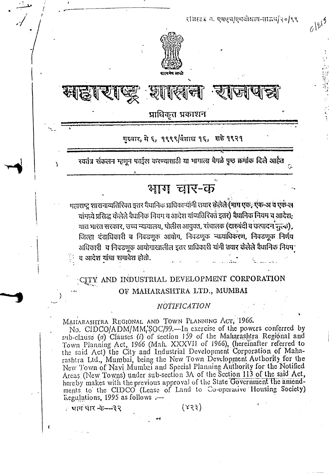$\cdot$  :

 $\mathbf{r}$ •

 $612^{15}$ 

.,

'"





## प्राधिकृत प्रकाशन

### गख्वार, मे ६, १९९९/वैशाख १६, शके १९२१

रयतंत्र संकलन म्हणून फाईल करण्यासाठी या भागाला वेगळे पृष्ठ क्रमीक दिले आहेत

# भाग चार-क

..'

महाराष्ट्र शासनाव्यतिरिक्त इतर वैधानिक प्राधिकाऱ्यांनी तयार क्रेलेले (माग एक, एक-अं व एक-ल यांमध्ये प्रसिद्ध केलेले वैधानिक नियम व आदेश यांव्यतिरिक्त इतर) वैधानिक नियम व आदेश; यात भारत सरकार, उच्च न्यायालय, पोलीस आयुक्त, संचालक (दारुबंदी व उत्पादन चुल्क), जिल्हा दंडाधिकारी व निवडणूक आयोग, निवडणूक न्यायाधिकरण, निवडणूक निर्णय अधिकारी व निवडणूक आयोगाखालील इतर प्राधिकारी यांनी तयार केलेले वैधानिक नियम<sub>,</sub> द आदेश यांचा समावेश होतो.

#### CITY AND INDUSTRIAL DEVELOPMENT CORPORATION *~~".t...~\_.* OF MAHARASHTRA LTD., MUMBAI

#### *. NQtIFIC4TION*

MAHARASHTRA REGIONAL AND TOWN PLANNING ACT, 1966.

No. CIDCO/ADM/MM;SOC/99.--In exercise of the powers conferred by sub-clause *(a)* Clauses *(i)* of section 159 of the Maharashtra Regional and Town Planning Act, 1966 (Mah, XXXVII of 1966), (hereinafter referred to the said  $Act$ ) the City and Industrial Development Corporation of Maharashtra Ltd., Mumbai, being the New Town Development Authority for the New Town of Navi Mumbai and Special Planning Authority for the Notified Areas (New Towns) under sub-section 3A of the Section 113 of the said Act, hereby makes with the previous approval of the State Government the amendments to the CIDCO (Lease of Land to Co-operative Housing Society)  $T_{\text{regulations}}$ , 1995 as follows .-

 $(88)$  ( $89$ ) ( $89$ ) ( $89$ ) ( $89$ ) ( $89$ ) ( $89$ ) ( $89$ ) ( $89$ ) ( $89$ ) ( $89$ ) ( $89$ ) ( $89$ ) ( $89$ ) ( $89$ ) ( $89$ ) ( $89$ ) ( $89$ ) ( $89$ ) ( $89$ ) ( $89$ ) ( $89$ ) ( $89$ ) ( $89$ ) ( $89$ ) ( $89$ ) ( $89$ ) ( $89$ ) ( $89$ ) ( $89$ ) ( $89$ ) ( $89$ 

..

~<br>~

*~/"*

t .,-.---"

**.. ,**

I

,\_

I

\ i

)

(